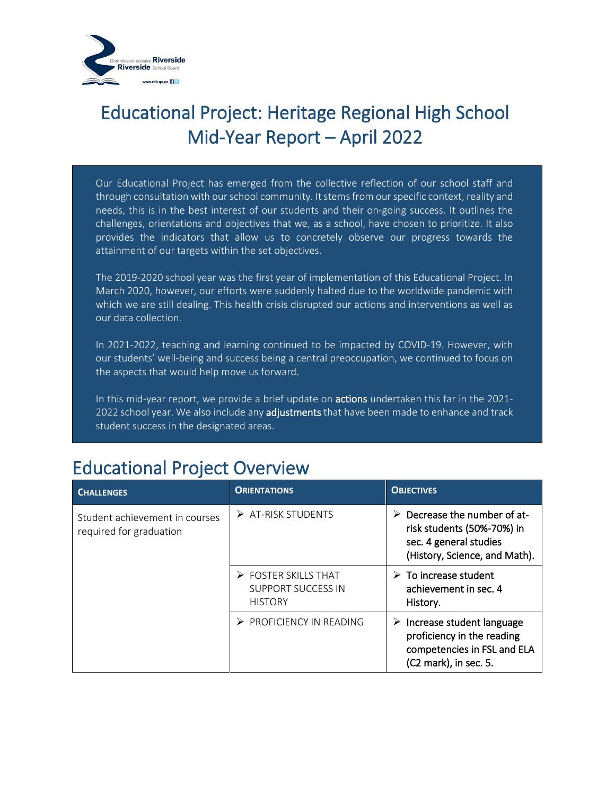

Our Educational Project has emerged from the collective reflection of our school staff and through consultation with our school community. It stems from our specific context, reality and needs, this is in the best interest of our students and their on-going success. It outlines the challenges, orientations and objectives that we, as a school, have chosen to prioritize. It also provides the indicators that allow us to concretely observe our progress towards the attainment of our targets within the set objectives.

The 2019-2020 school year was the first year of implementation of this Educational Project. In March 2020, however, our efforts were suddenly halted due to the worldwide pandemic with which we are still dealing. This health crisis disrupted our actions and interventions as well as our data collection.

In 2021-2022, teaching and learning continued to be impacted by COVID-19. However, with our students' well-being and success being a central preoccupation, we continued to focus on the aspects that would help move us forward.

In this mid-year report, we provide a brief update on **actions** undertaken this far in the 2021-2022 school year. We also include any adjustments that have been made to enhance and track student success in the designated areas.

| <b>CHALLENGES</b>                                         | <b>ORIENTATIONS</b>                                                         | <b>OBJECTIVES</b>                                                                                                                |
|-----------------------------------------------------------|-----------------------------------------------------------------------------|----------------------------------------------------------------------------------------------------------------------------------|
| Student achievement in courses<br>required for graduation | $\triangleright$ AT-RISK STUDENTS                                           | Decrease the number of at-<br>➤<br>risk students (50%-70%) in<br>sec. 4 general studies<br>(History, Science, and Math).         |
|                                                           | $\triangleright$ FOSTER SKILLS THAT<br>SUPPORT SUCCESS IN<br><b>HISTORY</b> | $\triangleright$ To increase student<br>achievement in sec. 4<br>History.                                                        |
|                                                           | $\triangleright$ PROFICIENCY IN READING                                     | $\triangleright$ Increase student language<br>proficiency in the reading<br>competencies in FSL and ELA<br>(C2 mark), in sec. 5. |

#### Educational Project Overview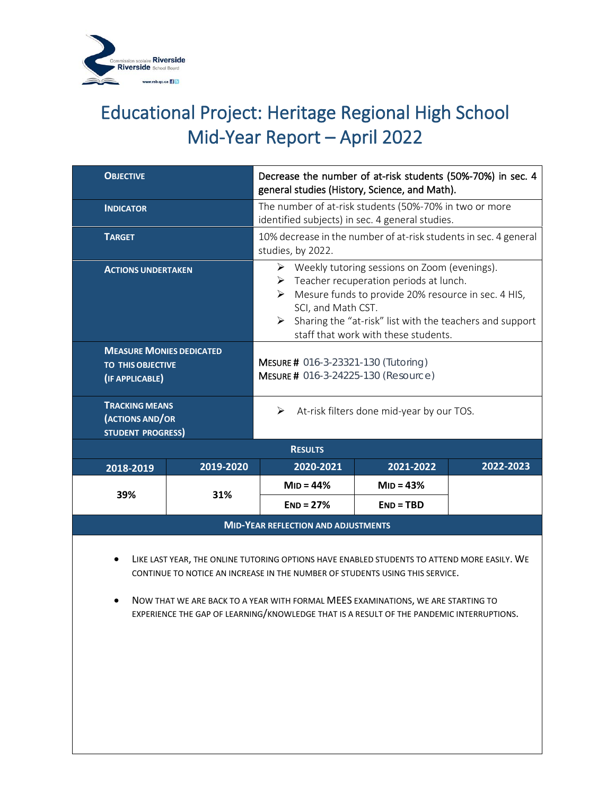

| <b>OBJECTIVE</b>                                                                                                                                                                                                                                                                                                                                            |           | Decrease the number of at-risk students (50%-70%) in sec. 4<br>general studies (History, Science, and Math).                                                                                                                                                                                                                 |             |           |  |
|-------------------------------------------------------------------------------------------------------------------------------------------------------------------------------------------------------------------------------------------------------------------------------------------------------------------------------------------------------------|-----------|------------------------------------------------------------------------------------------------------------------------------------------------------------------------------------------------------------------------------------------------------------------------------------------------------------------------------|-------------|-----------|--|
| <b>INDICATOR</b>                                                                                                                                                                                                                                                                                                                                            |           | The number of at-risk students (50%-70% in two or more<br>identified subjects) in sec. 4 general studies.                                                                                                                                                                                                                    |             |           |  |
| <b>TARGET</b>                                                                                                                                                                                                                                                                                                                                               |           | 10% decrease in the number of at-risk students in sec. 4 general<br>studies, by 2022.                                                                                                                                                                                                                                        |             |           |  |
| <b>ACTIONS UNDERTAKEN</b>                                                                                                                                                                                                                                                                                                                                   |           | $\triangleright$ Weekly tutoring sessions on Zoom (evenings).<br>$\triangleright$ Teacher recuperation periods at lunch.<br>> Mesure funds to provide 20% resource in sec. 4 HIS,<br>SCI, and Math CST.<br>$\triangleright$ Sharing the "at-risk" list with the teachers and support<br>staff that work with these students. |             |           |  |
| <b>MEASURE MONIES DEDICATED</b><br><b>TO THIS OBJECTIVE</b><br>(IF APPLICABLE)                                                                                                                                                                                                                                                                              |           | <b>MESURE # 016-3-23321-130 (Tutoring)</b><br>MESURE # 016-3-24225-130 (Resource)                                                                                                                                                                                                                                            |             |           |  |
| <b>TRACKING MEANS</b><br>(ACTIONS AND/OR<br><b>STUDENT PROGRESS)</b>                                                                                                                                                                                                                                                                                        |           | At-risk filters done mid-year by our TOS.<br>➤                                                                                                                                                                                                                                                                               |             |           |  |
|                                                                                                                                                                                                                                                                                                                                                             |           | <b>RESULTS</b>                                                                                                                                                                                                                                                                                                               |             |           |  |
| 2018-2019                                                                                                                                                                                                                                                                                                                                                   | 2019-2020 | 2020-2021                                                                                                                                                                                                                                                                                                                    | 2021-2022   | 2022-2023 |  |
| 39%                                                                                                                                                                                                                                                                                                                                                         | 31%       | $MID = 44%$                                                                                                                                                                                                                                                                                                                  | $MID = 43%$ |           |  |
|                                                                                                                                                                                                                                                                                                                                                             |           | $END = 27%$                                                                                                                                                                                                                                                                                                                  | $END = TBD$ |           |  |
| <b>MID-YEAR REFLECTION AND ADJUSTMENTS</b>                                                                                                                                                                                                                                                                                                                  |           |                                                                                                                                                                                                                                                                                                                              |             |           |  |
| LIKE LAST YEAR, THE ONLINE TUTORING OPTIONS HAVE ENABLED STUDENTS TO ATTEND MORE EASILY. WE<br>CONTINUE TO NOTICE AN INCREASE IN THE NUMBER OF STUDENTS USING THIS SERVICE.<br>NOW THAT WE ARE BACK TO A YEAR WITH FORMAL MEES EXAMINATIONS, WE ARE STARTING TO<br>EXPERIENCE THE GAP OF LEARNING/KNOWLEDGE THAT IS A RESULT OF THE PANDEMIC INTERRUPTIONS. |           |                                                                                                                                                                                                                                                                                                                              |             |           |  |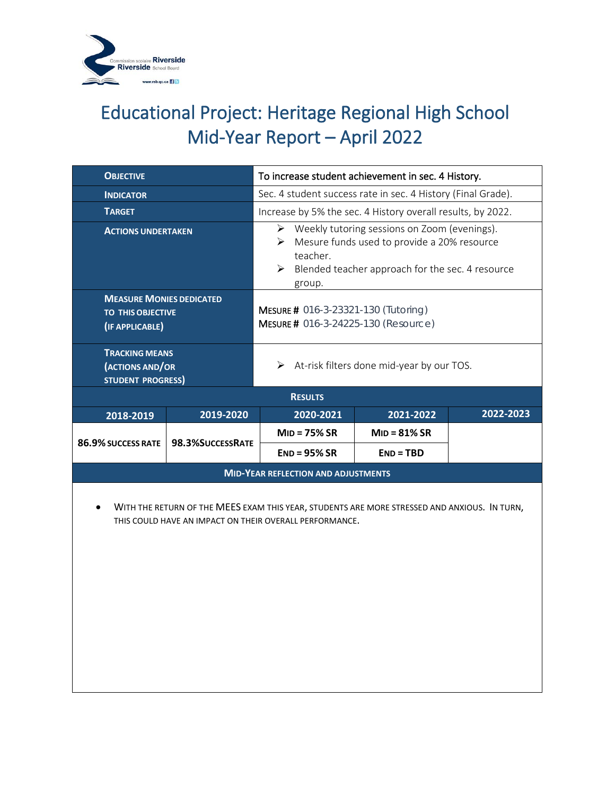

| <b>OBJECTIVE</b>                                                                                                                                        |                  | To increase student achievement in sec. 4 History.                                                                                                                                   |                 |           |
|---------------------------------------------------------------------------------------------------------------------------------------------------------|------------------|--------------------------------------------------------------------------------------------------------------------------------------------------------------------------------------|-----------------|-----------|
| <b>INDICATOR</b>                                                                                                                                        |                  | Sec. 4 student success rate in sec. 4 History (Final Grade).                                                                                                                         |                 |           |
| <b>TARGET</b>                                                                                                                                           |                  | Increase by 5% the sec. 4 History overall results, by 2022.                                                                                                                          |                 |           |
| <b>ACTIONS UNDERTAKEN</b>                                                                                                                               |                  | Weekly tutoring sessions on Zoom (evenings).<br>≻<br>Mesure funds used to provide a 20% resource<br>➤<br>teacher.<br>Blended teacher approach for the sec. 4 resource<br>➤<br>group. |                 |           |
| <b>MEASURE MONIES DEDICATED</b><br><b>TO THIS OBJECTIVE</b><br>(IF APPLICABLE)                                                                          |                  | <b>MESURE # 016-3-23321-130 (Tutoring)</b><br><b>MESURE # 016-3-24225-130 (Resource)</b>                                                                                             |                 |           |
| <b>TRACKING MEANS</b><br>(ACTIONS AND/OR<br><b>STUDENT PROGRESS)</b>                                                                                    |                  | At-risk filters done mid-year by our TOS.<br>➤                                                                                                                                       |                 |           |
|                                                                                                                                                         |                  | <b>RESULTS</b>                                                                                                                                                                       |                 |           |
| 2018-2019                                                                                                                                               | 2019-2020        | 2020-2021                                                                                                                                                                            | 2021-2022       | 2022-2023 |
| 86.9% SUCCESS RATE                                                                                                                                      | 98.3%SUCCESSRATE | $MID = 75% SR$                                                                                                                                                                       | $MID = 81\% SR$ |           |
|                                                                                                                                                         |                  | $END = 95\% SR$                                                                                                                                                                      | $END = TBD$     |           |
| <b>MID-YEAR REFLECTION AND ADJUSTMENTS</b>                                                                                                              |                  |                                                                                                                                                                                      |                 |           |
| WITH THE RETURN OF THE MEES EXAM THIS YEAR, STUDENTS ARE MORE STRESSED AND ANXIOUS. IN TURN,<br>THIS COULD HAVE AN IMPACT ON THEIR OVERALL PERFORMANCE. |                  |                                                                                                                                                                                      |                 |           |